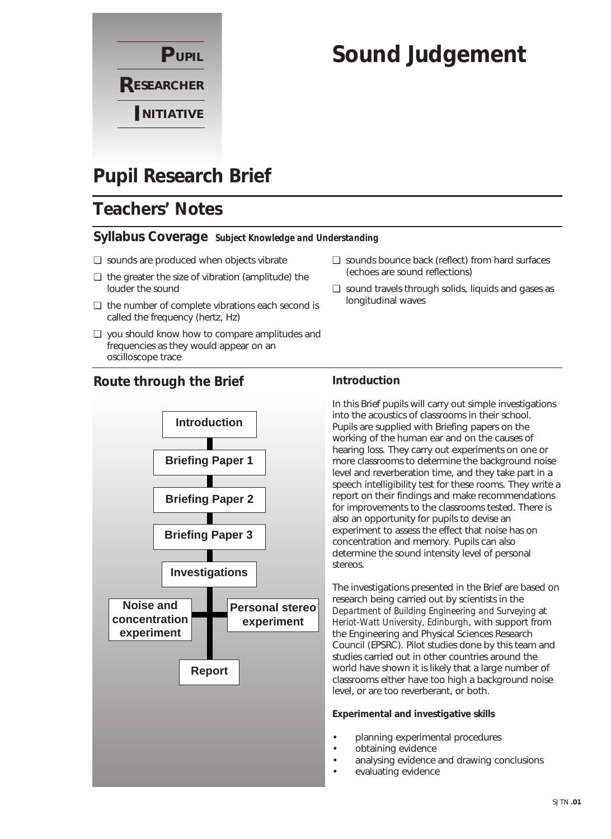

# **Sound Judgement**

## **Pupil Research Brief**

## **Teachers' Notes**

#### **Syllabus Coverage** *Subject Knowledge and Understanding*

- ❏ sounds are produced when objects vibrate
- ❏ the greater the size of vibration (amplitude) the louder the sound
- ❏ the number of complete vibrations each second is called the frequency (hertz, Hz)
- ❏ you should know how to compare amplitudes and frequencies as they would appear on an oscilloscope trace

#### **Route through the Brief**



#### ❏ sounds bounce back (reflect) from hard surfaces (echoes are sound reflections)

❏ sound travels through solids, liquids and gases as longitudinal waves

#### **Introduction**

In this Brief pupils will carry out simple investigations into the acoustics of classrooms in their school. Pupils are supplied with Briefing papers on the working of the human ear and on the causes of hearing loss. They carry out experiments on one or more classrooms to determine the background noise level and reverberation time, and they take part in a speech intelligibility test for these rooms. They write a report on their findings and make recommendations for improvements to the classrooms tested. There is also an opportunity for pupils to devise an experiment to assess the effect that noise has on concentration and memory. Pupils can also determine the sound intensity level of personal stereos.

The investigations presented in the Brief are based on research being carried out by scientists in the *Department of Building Engineering and Surveying* at *Heriot-Watt University, Edinburgh*, with support from the Engineering and Physical Sciences Research Council (EPSRC)*.* Pilot studies done by this team and studies carried out in other countries around the world have shown it is likely that a large number of classrooms either have too high a background noise level, or are too reverberant, or both.

#### **Experimental and investigative skills**

- planning experimental procedures
- obtaining evidence
- analysing evidence and drawing conclusions
- evaluating evidence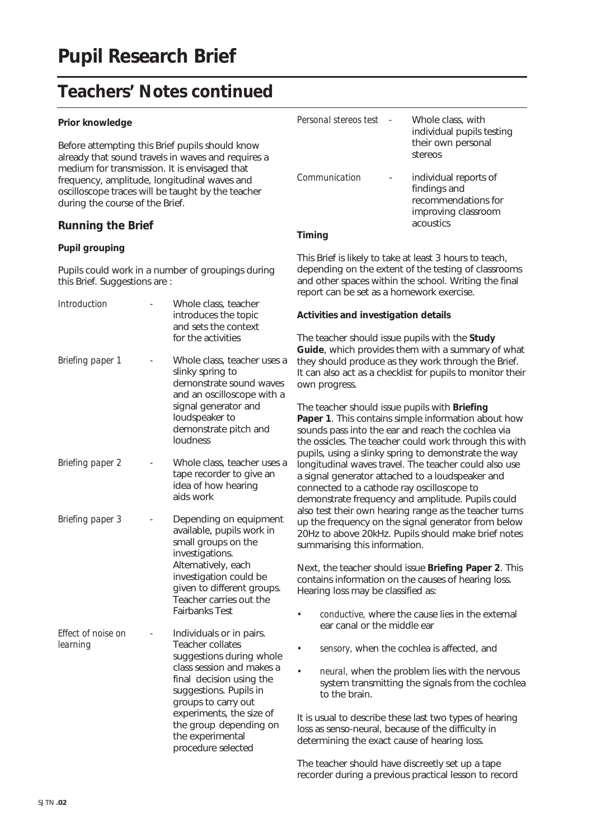#### **Prior knowledge**

Before attempting this Brief pupils should know already that sound travels in waves and requires a medium for transmission. It is envisaged that frequency, amplitude, longitudinal waves and oscilloscope traces will be taught by the teacher during the course of the Brief.

#### **Running the Brief**

#### **Pupil grouping**

Pupils could work in a number of groupings during this Brief. Suggestions are :

| <b>Introduction</b>            | Whole class, teacher<br>introduces the topic<br>and sets the context<br>for the activities                                                                                                                                                                                         | Act<br>The                                                          |
|--------------------------------|------------------------------------------------------------------------------------------------------------------------------------------------------------------------------------------------------------------------------------------------------------------------------------|---------------------------------------------------------------------|
| Briefing paper 1               | Whole class, teacher uses a<br>slinky spring to<br>demonstrate sound waves<br>and an oscilloscope with a<br>signal generator and<br>loudspeaker to<br>demonstrate pitch and<br>loudness                                                                                            | Gui<br>the <sup>®</sup><br>It ca<br>owr<br>The<br>Pap<br>sou<br>the |
| Briefing paper 2               | Whole class, teacher uses a<br>tape recorder to give an<br>idea of how hearing<br>aids work                                                                                                                                                                                        | pup<br>lon<br>a si<br>con<br>den                                    |
| Briefing paper 3               | Depending on equipment<br>available, pupils work in<br>small groups on the<br>investigations.<br>Alternatively, each<br>investigation could be<br>given to different groups.<br>Teacher carries out the<br><b>Fairbanks Test</b>                                                   | alsc<br>up :<br>20 <sub>h</sub><br>sum<br>Ne><br>con<br>Hea         |
| Effect of noise on<br>learning | Individuals or in pairs.<br>Teacher collates<br>suggestions during whole<br>class session and makes a<br>final decision using the<br>suggestions. Pupils in<br>groups to carry out<br>experiments, the size of<br>the group depending on<br>the experimental<br>procedure selected | It is<br>loss<br>det                                                |

| Personal stereos test | Whole class, with<br>individual pupils testing<br>their own personal<br>stereos                  |
|-----------------------|--------------------------------------------------------------------------------------------------|
| Communication         | individual reports of<br>findings and<br>recommendations for<br>improving classroom<br>acoustics |
|                       |                                                                                                  |

This Brief is likely to take at least 3 hours to teach, depending on the extent of the testing of classrooms and other spaces within the school. Writing the final report can be set as a homework exercise.

#### **Activities and investigation details**

teacher should issue pupils with the **Study ide**, which provides them with a summary of what y should produce as they work through the Brief. an also act as a checklist for pupils to monitor their n progress.

teacher should issue pupils with **Briefing Paper 1.** This contains simple information about how nds pass into the ear and reach the cochlea via ossicles. The teacher could work through this with bils, using a slinky spring to demonstrate the way gitudinal waves travel. The teacher could also use gnal generator attached to a loudspeaker and nected to a cathode ray oscilloscope to nonstrate frequency and amplitude. Pupils could test their own hearing range as the teacher turns the frequency on the signal generator from below Hz to above 20kHz. Pupils should make brief notes imarising this information.

Next, the teacher should issue **Briefing Paper 2**. This tains information on the causes of hearing loss. iring loss may be classified as:

- *conductive,* where the cause lies in the external ear canal or the middle ear
- *sensory,* when the cochlea is affected, and
- *neural,* when the problem lies with the nervous system transmitting the signals from the cochlea to the brain.

usual to describe these last two types of hearing as senso-neural, because of the difficulty in ermining the exact cause of hearing loss.

The teacher should have discreetly set up a tape recorder during a previous practical lesson to record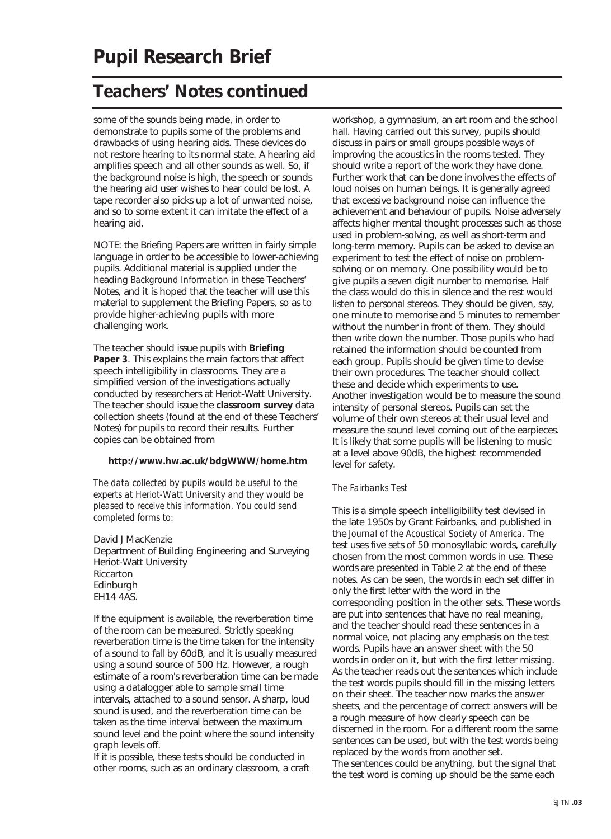some of the sounds being made, in order to demonstrate to pupils some of the problems and drawbacks of using hearing aids. These devices do not restore hearing to its normal state. A hearing aid amplifies speech and all other sounds as well. So, if the background noise is high, the speech or sounds the hearing aid user wishes to hear could be lost. A tape recorder also picks up a lot of unwanted noise, and so to some extent it can imitate the effect of a hearing aid.

NOTE: the Briefing Papers are written in fairly simple language in order to be accessible to lower-achieving pupils. Additional material is supplied under the heading *Background Information* in these Teachers' Notes, and it is hoped that the teacher will use this material to supplement the Briefing Papers, so as to provide higher-achieving pupils with more challenging work.

The teacher should issue pupils with **Briefing Paper 3**. This explains the main factors that affect speech intelligibility in classrooms. They are a simplified version of the investigations actually conducted by researchers at Heriot-Watt University. The teacher should issue the **classroom survey** data collection sheets (found at the end of these Teachers' Notes) for pupils to record their results. Further copies can be obtained from

#### **http://www.hw.ac.uk/bdgWWW/home.htm**

*The data collected by pupils would be useful to the experts at Heriot-Watt University and they would be pleased to receive this information. You could send completed forms to:*

David J MacKenzie Department of Building Engineering and Surveying Heriot-Watt University Riccarton Edinburgh EH14 4AS.

If the equipment is available, the reverberation time of the room can be measured. Strictly speaking reverberation time is the time taken for the intensity of a sound to fall by 60dB, and it is usually measured using a sound source of 500 Hz. However, a rough estimate of a room's reverberation time can be made using a datalogger able to sample small time intervals, attached to a sound sensor. A sharp, loud sound is used, and the reverberation time can be taken as the time interval between the maximum sound level and the point where the sound intensity graph levels off.

If it is possible, these tests should be conducted in other rooms, such as an ordinary classroom, a craft workshop, a gymnasium, an art room and the school hall. Having carried out this survey, pupils should discuss in pairs or small groups possible ways of improving the acoustics in the rooms tested. They should write a report of the work they have done. Further work that can be done involves the effects of loud noises on human beings. It is generally agreed that excessive background noise can influence the achievement and behaviour of pupils. Noise adversely affects higher mental thought processes such as those used in problem-solving, as well as short-term and long-term memory. Pupils can be asked to devise an experiment to test the effect of noise on problemsolving or on memory. One possibility would be to give pupils a seven digit number to memorise. Half the class would do this in silence and the rest would listen to personal stereos. They should be given, say, one minute to memorise and 5 minutes to remember without the number in front of them. They should then write down the number. Those pupils who had retained the information should be counted from each group. Pupils should be given time to devise their own procedures. The teacher should collect these and decide which experiments to use. Another investigation would be to measure the sound intensity of personal stereos. Pupils can set the volume of their own stereos at their usual level and measure the sound level coming out of the earpieces. It is likely that some pupils will be listening to music at a level above 90dB, the highest recommended level for safety.

#### *The Fairbanks Test*

This is a simple speech intelligibility test devised in the late 1950s by Grant Fairbanks, and published in the *Journal of the Acoustical Society of America*. The test uses five sets of 50 monosyllabic words, carefully chosen from the most common words in use. These words are presented in Table 2 at the end of these notes. As can be seen, the words in each set differ in only the first letter with the word in the corresponding position in the other sets. These words are put into sentences that have no real meaning, and the teacher should read these sentences in a normal voice, not placing any emphasis on the test words. Pupils have an answer sheet with the 50 words in order on it, but with the first letter missing. As the teacher reads out the sentences which include the test words pupils should fill in the missing letters on their sheet. The teacher now marks the answer sheets, and the percentage of correct answers will be a rough measure of how clearly speech can be discerned in the room. For a different room the same sentences can be used, but with the test words being replaced by the words from another set. The sentences could be anything, but the signal that the test word is coming up should be the same each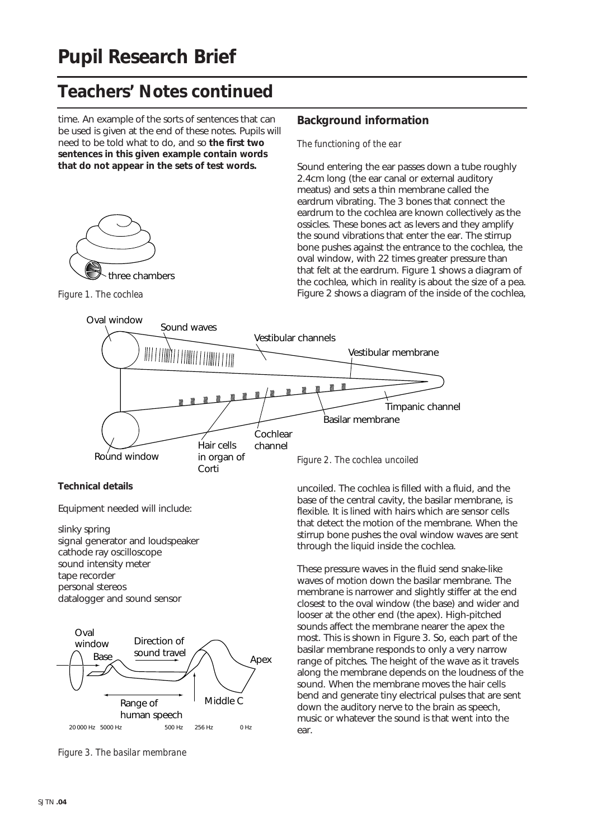time. An example of the sorts of sentences that can be used is given at the end of these notes. Pupils will need to be told what to do, and so **the first two sentences in this given example contain words that do not appear in the sets of test words.**



*Figure 1. The cochlea*

#### **Background information**

*The functioning of the ear*

Sound entering the ear passes down a tube roughly 2.4cm long (the ear canal or external auditory meatus) and sets a thin membrane called the eardrum vibrating. The 3 bones that connect the eardrum to the cochlea are known collectively as the ossicles. These bones act as levers and they amplify the sound vibrations that enter the ear. The stirrup bone pushes against the entrance to the cochlea, the oval window, with 22 times greater pressure than that felt at the eardrum. Figure 1 shows a diagram of the cochlea, which in reality is about the size of a pea. Figure 2 shows a diagram of the inside of the cochlea,



#### **Technical details**

Equipment needed will include:

slinky spring signal generator and loudspeaker cathode ray oscilloscope sound intensity meter tape recorder personal stereos datalogger and sound sensor



*Figure 3. The basilar membrane*

uncoiled. The cochlea is filled with a fluid, and the base of the central cavity, the basilar membrane, is flexible. It is lined with hairs which are sensor cells that detect the motion of the membrane. When the stirrup bone pushes the oval window waves are sent through the liquid inside the cochlea.

These pressure waves in the fluid send snake-like waves of motion down the basilar membrane. The membrane is narrower and slightly stiffer at the end closest to the oval window (the base) and wider and looser at the other end (the apex). High-pitched sounds affect the membrane nearer the apex the most. This is shown in Figure 3. So, each part of the basilar membrane responds to only a very narrow range of pitches. The height of the wave as it travels along the membrane depends on the loudness of the sound. When the membrane moves the hair cells bend and generate tiny electrical pulses that are sent down the auditory nerve to the brain as speech, music or whatever the sound is that went into the ear.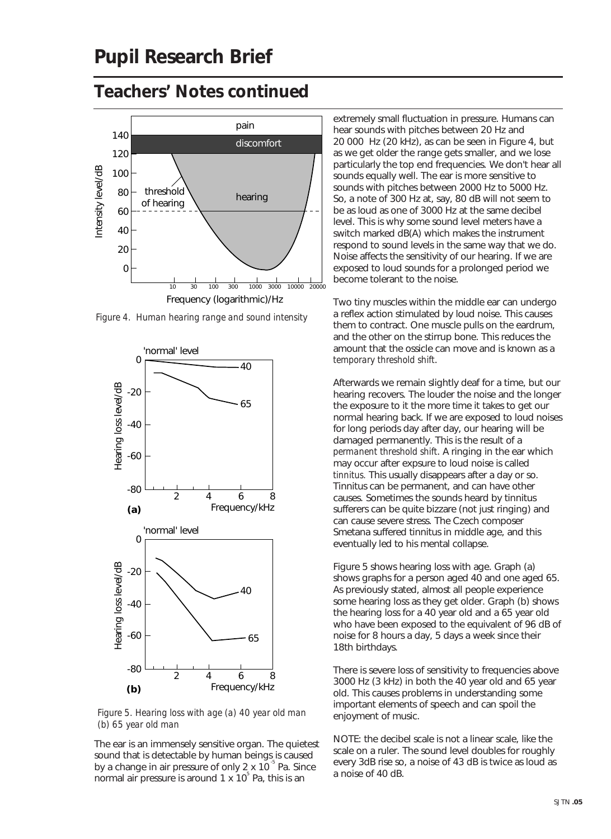

*Figure 4. Human hearing range and sound intensity* 



*Figure 5. Hearing loss with age (a) 40 year old man (b) 65 year old man*

The ear is an immensely sensitive organ. The quietest sound that is detectable by human beings is caused by a change in air pressure of only  $2 \times 10^{-5}$  Pa. Since normal air pressure is around 1 x 10<sup>5</sup> Pa, this is an

extremely small fluctuation in pressure. Humans can hear sounds with pitches between 20 Hz and 20 000 Hz (20 kHz), as can be seen in Figure 4, but as we get older the range gets smaller, and we lose particularly the top end frequencies. We don't hear all sounds equally well. The ear is more sensitive to sounds with pitches between 2000 Hz to 5000 Hz. So, a note of 300 Hz at, say, 80 dB will not seem to be as loud as one of 3000 Hz at the same decibel level. This is why some sound level meters have a switch marked dB(A) which makes the instrument respond to sound levels in the same way that we do. Noise affects the sensitivity of our hearing. If we are exposed to loud sounds for a prolonged period we become tolerant to the noise.

Two tiny muscles within the middle ear can undergo a reflex action stimulated by loud noise. This causes them to contract. One muscle pulls on the eardrum, and the other on the stirrup bone. This reduces the amount that the ossicle can move and is known as a *temporary threshold shift*.

Afterwards we remain slightly deaf for a time, but our hearing recovers. The louder the noise and the longer the exposure to it the more time it takes to get our normal hearing back. If we are exposed to loud noises for long periods day after day, our hearing will be damaged permanently. This is the result of a *permanent threshold shift*. A ringing in the ear which may occur after expsure to loud noise is called *tinnitus.* This usually disappears after a day or so. Tinnitus can be permanent, and can have other causes. Sometimes the sounds heard by tinnitus sufferers can be quite bizzare (not just ringing) and can cause severe stress. The Czech composer Smetana suffered tinnitus in middle age, and this eventually led to his mental collapse.

Figure 5 shows hearing loss with age. Graph (a) shows graphs for a person aged 40 and one aged 65. As previously stated, almost all people experience some hearing loss as they get older. Graph (b) shows the hearing loss for a 40 year old and a 65 year old who have been exposed to the equivalent of 96 dB of noise for 8 hours a day, 5 days a week since their 18th birthdays.

There is severe loss of sensitivity to frequencies above 3000 Hz (3 kHz) in both the 40 year old and 65 year old. This causes problems in understanding some important elements of speech and can spoil the enjoyment of music.

NOTE: the decibel scale is not a linear scale, like the scale on a ruler. The sound level doubles for roughly every 3dB rise so, a noise of 43 dB is twice as loud as a noise of 40 dB.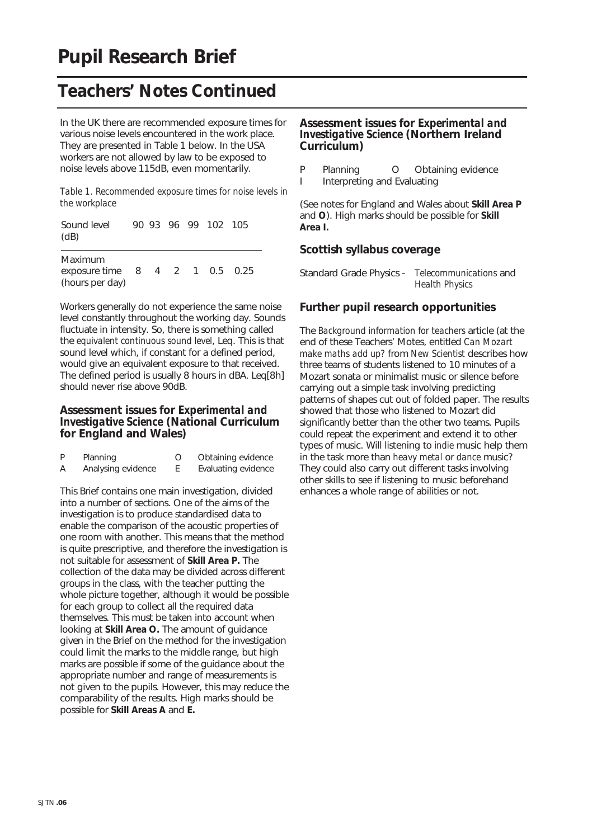In the UK there are recommended exposure times for various noise levels encountered in the work place. They are presented in Table 1 below. In the USA workers are not allowed by law to be exposed to noise levels above 115dB, even momentarily.

*Table 1. Recommended exposure times for noise levels in the workplace*

| Sound level<br>(dB)                                          |  |  | 90 93 96 99 102 105 |  |
|--------------------------------------------------------------|--|--|---------------------|--|
| Maximum<br>exposure time 8 4 2 1 0.5 0.25<br>(hours per day) |  |  |                     |  |

Workers generally do not experience the same noise level constantly throughout the working day. Sounds fluctuate in intensity. So, there is something called the *equivalent continuous sound level*, Leq. This is that sound level which, if constant for a defined period, would give an equivalent exposure to that received. The defined period is usually 8 hours in dBA. Leq[8h] should never rise above 90dB.

#### **Assessment issues for** *Experimental and Investigative Science* **(National Curriculum for England and Wales)**

| P | Planning           | Obtaining evidence  |
|---|--------------------|---------------------|
| Α | Analysing evidence | Evaluating evidence |

This Brief contains one main investigation, divided into a number of sections. One of the aims of the investigation is to produce standardised data to enable the comparison of the acoustic properties of one room with another. This means that the method is quite prescriptive, and therefore the investigation is not suitable for assessment of **Skill Area P.** The collection of the data may be divided across different groups in the class, with the teacher putting the whole picture together, although it would be possible for each group to collect all the required data themselves. This must be taken into account when looking at **Skill Area O.** The amount of guidance given in the Brief on the method for the investigation could limit the marks to the middle range, but high marks are possible if some of the guidance about the appropriate number and range of measurements is not given to the pupils. However, this may reduce the comparability of the results. High marks should be possible for **Skill Areas A** and **E.**

#### **Assessment issues for** *Experimental and Investigative Science* **(Northern Ireland Curriculum)**

- P Planning O Obtaining evidence
- I Interpreting and Evaluating

(See notes for England and Wales about **Skill Area P** and **O**). High marks should be possible for **Skill Area I.**

#### **Scottish syllabus coverage**

Standard Grade Physics - *Telecommunications* and *Health Physics*

#### **Further pupil research opportunities**

The *Background information for teachers* article (at the end of these Teachers' Motes, entitled *Can Mozart make maths add up?* from *New Scientist* describes how three teams of students listened to 10 minutes of a Mozart sonata or minimalist music or silence before carrying out a simple task involving predicting patterns of shapes cut out of folded paper. The results showed that those who listened to Mozart did significantly better than the other two teams. Pupils could repeat the experiment and extend it to other types of music. Will listening to *indie* music help them in the task more than *heavy metal* or *dance* music? They could also carry out different tasks involving other skills to see if listening to music beforehand enhances a whole range of abilities or not.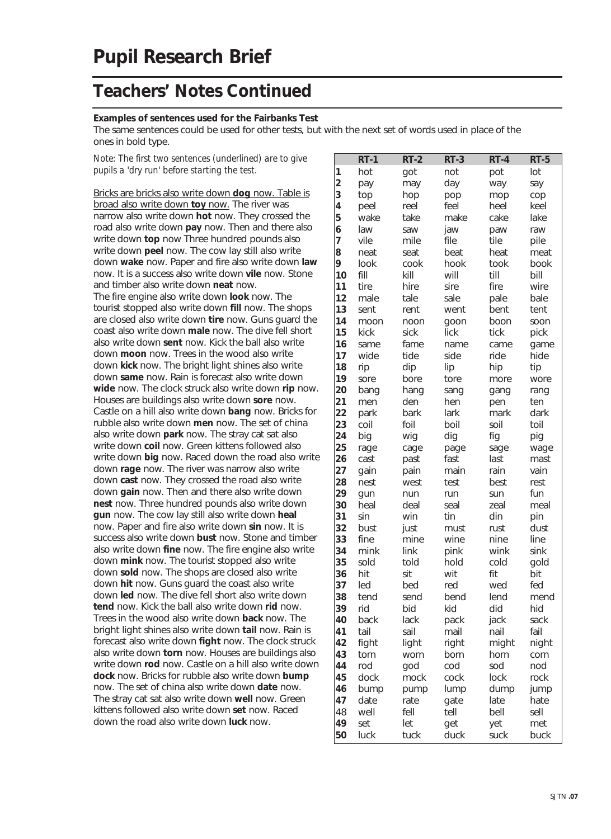#### **Examples of sentences used for the Fairbanks Test**

The same sentences could be used for other tests, but with the next set of words used in place of the ones in bold type.

*Note: The first two sentences (underlined) are to give pupils a 'dry run' before starting the test.*

Bricks are bricks also write down **dog** now. Table is broad also write down **toy** now. The river was narrow also write down **hot** now. They crossed the road also write down **pay** now. Then and there also write down **top** now Three hundred pounds also write down **peel** now. The cow lay still also write down **wake** now. Paper and fire also write down **law** now. It is a success also write down **vile** now. Stone and timber also write down **neat** now. The fire engine also write down **look** now. The tourist stopped also write down **fill** now. The shops are closed also write down **tire** now. Guns guard the coast also write down **male** now. The dive fell short also write down **sent** now. Kick the ball also write down **moon** now. Trees in the wood also write down **kick** now. The bright light shines also write down **same** now. Rain is forecast also write down **wide** now. The clock struck also write down **rip** now. Houses are buildings also write down **sore** now. Castle on a hill also write down **bang** now. Bricks for rubble also write down **men** now. The set of china also write down **park** now. The stray cat sat also write down **coil** now. Green kittens followed also write down **big** now. Raced down the road also write down **rage** now. The river was narrow also write down **cast** now. They crossed the road also write down **gain** now. Then and there also write down **nest** now. Three hundred pounds also write down **gun** now. The cow lay still also write down **heal** now. Paper and fire also write down **sin** now. It is success also write down **bust** now. Stone and timber also write down **fine** now. The fire engine also write down **mink** now. The tourist stopped also write down **sold** now. The shops are closed also write down **hit** now. Guns guard the coast also write down **led** now. The dive fell short also write down **tend** now. Kick the ball also write down **rid** now. Trees in the wood also write down **back** now. The bright light shines also write down **tail** now. Rain is forecast also write down **fight** now. The clock struck also write down **torn** now. Houses are buildings also write down **rod** now. Castle on a hill also write down **dock** now. Bricks for rubble also write down **bump** now. The set of china also write down **date** now. The stray cat sat also write down **well** now. Green kittens followed also write down **set** now. Raced down the road also write down **luck** now.

|                         | $RT-1$ | $RT-2$ | $RT-3$ | $RT-4$ | $RT-5$ |
|-------------------------|--------|--------|--------|--------|--------|
| 1                       | hot    | got    | not    | pot    | lot    |
| $\overline{\mathbf{c}}$ | pay    | may    | day    | way    | say    |
| 3                       | top    | hop    | pop    | mop    | cop    |
| 4                       | peel   | reel   | feel   | heel   | keel   |
| 5                       | wake   | take   | make   | cake   | lake   |
| 6                       | law    | saw    | jaw    | paw    | raw    |
| 7                       | vile   | mile   | file   | tile   | pile   |
| 8                       | neat   | seat   | beat   | heat   | meat   |
| 9                       | look   | cook   | hook   | took   | book   |
| 10                      | fill   | kill   | will   | till   | bill   |
| 11                      | tire   | hire   | sire   | fire   | wire   |
| 12                      | male   | tale   | sale   | pale   | bale   |
| 13                      | sent   | rent   | went   | bent   | tent   |
| 14                      | moon   | noon   | goon   | boon   | soon   |
| 15                      | kick   | sick   | lick   | tick   | pick   |
| 16                      | same   | fame   | name   | came   | game   |
| 17                      | wide   | tide   | side   | ride   | hide   |
| 18                      | rip    | dip    | lip    | hip    | tip    |
| 19                      | sore   | bore   | tore   | more   | wore   |
| 20                      | bang   | hang   | sang   | gang   | rang   |
| 21                      | men    | den    | hen    | pen    | ten    |
| 22                      | park   | bark   | lark   | mark   | dark   |
| 23                      | coil   | foil   | boil   | soil   | toil   |
| 24                      | big    | wig    | dig    | fig    | pig    |
| 25                      | rage   | cage   | page   | sage   | wage   |
| 26                      | cast   | past   | fast   | last   | mast   |
| 27                      | gain   | pain   | main   | rain   | vain   |
| 28                      | nest   | west   | test   | best   | rest   |
| 29                      | gun    | nun    | run    | sun    | fun    |
| 30                      | heal   | deal   | seal   | zeal   | meal   |
| 31                      | sin    | win    | tin    | din    | pin    |
| 32                      | bust   | just   | must   | rust   | dust   |
| 33                      | fine   | mine   | wine   | nine   | line   |
| 34                      | mink   | link   | pink   | wink   | sink   |
| 35                      | sold   | told   | hold   | cold   | gold   |
| 36                      | hit    | sit    | wit    | fit    | bit    |
| 37                      | led    | bed    | red    | wed    | fed    |
| 38                      | tend   | send   | bend   | lend   | mend   |
| 39                      | rid    | bid    | kid    | did    | hid    |
| 40                      | back   | lack   | pack   | jack   | sack   |
| 41                      | tail   | sail   | mail   | nail   | fail   |
| 42                      | fight  | light  | right  | might  | night  |
| 43                      | torn   | worn   | born   | horn   | corn   |
| 44                      | rod    | god    | cod    | sod    | nod    |
| 45                      | dock   | mock   | cock   | lock   | rock   |
| 46                      | bump   | pump   | lump   | dump   | jump   |
| 47                      | date   | rate   | gate   | late   | hate   |
| 48                      | well   | fell   | tell   | bell   | sell   |
| 49                      | set    | let    | get    | yet    | met    |
| 50                      | luck   | tuck   | duck   | suck   | buck   |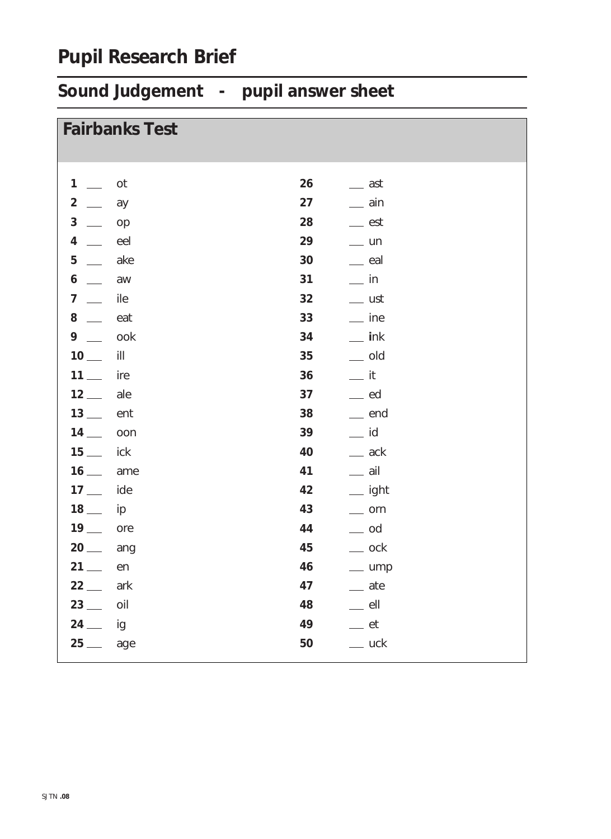## **Pupil Research Brief**

# **Sound Judgement - pupil answer sheet**

| <b>Fairbanks Test</b>                                                                                                                                                                                                                                                                                                                                                                                                            |    |                         |
|----------------------------------------------------------------------------------------------------------------------------------------------------------------------------------------------------------------------------------------------------------------------------------------------------------------------------------------------------------------------------------------------------------------------------------|----|-------------------------|
|                                                                                                                                                                                                                                                                                                                                                                                                                                  |    |                         |
| 1<br>ot<br>$\mathcal{L}^{\mathcal{L}}$                                                                                                                                                                                                                                                                                                                                                                                           | 26 | $\equiv$ ast            |
| $\overline{\mathbf{c}}$<br>$\frac{1}{2}$<br>ay                                                                                                                                                                                                                                                                                                                                                                                   | 27 | $\equiv$ ain            |
| $\mathbf{3}$<br>$\overline{\phantom{0}}$<br>op                                                                                                                                                                                                                                                                                                                                                                                   | 28 | $\equiv$ est            |
| 4<br>eel                                                                                                                                                                                                                                                                                                                                                                                                                         | 29 | $=$ un                  |
| 5<br>ake<br>$\equiv$ $\equiv$                                                                                                                                                                                                                                                                                                                                                                                                    | 30 | $\equiv$ eal            |
| 6<br>aw<br>$\frac{1}{1-\frac{1}{1-\frac{1}{1-\frac{1}{1-\frac{1}{1-\frac{1}{1-\frac{1}{1-\frac{1}{1-\frac{1}{1-\frac{1}{1-\frac{1}{1-\frac{1}{1-\frac{1}{1-\frac{1}{1-\frac{1}{1-\frac{1}{1-\frac{1}{1-\frac{1}{1-\frac{1}{1-\frac{1}{1-\frac{1}{1-\frac{1}{1-\frac{1}{1-\frac{1}{1-\frac{1}{1-\frac{1}{1-\frac{1}{1-\frac{1}{1-\frac{1}{1-\frac{1}{1-\frac{1}{1-\frac{1}{1-\frac{1}{1-\frac{1}{1-\frac{1}{1-\frac{1}{1-\frac{1$ | 31 | $\equiv$ in             |
| 7<br>ile<br>$\frac{1}{1}$                                                                                                                                                                                                                                                                                                                                                                                                        | 32 | $\equiv$ ust            |
| 8<br>eat<br>$\overline{\phantom{a}}$                                                                                                                                                                                                                                                                                                                                                                                             | 33 | $\equiv$ ine            |
| $9 -$<br>ook                                                                                                                                                                                                                                                                                                                                                                                                                     | 34 | $\equiv$ ink            |
| $10$ —<br>ill                                                                                                                                                                                                                                                                                                                                                                                                                    | 35 | $\equiv$ old            |
| $11$ —<br>ire                                                                                                                                                                                                                                                                                                                                                                                                                    | 36 | $=$ it                  |
| $12$ —<br>ale                                                                                                                                                                                                                                                                                                                                                                                                                    | 37 | ed                      |
| $13$ —<br>ent                                                                                                                                                                                                                                                                                                                                                                                                                    | 38 | $\equiv$ end            |
| $14$ —<br>oon                                                                                                                                                                                                                                                                                                                                                                                                                    | 39 | $\equiv$ id             |
| $15$ —<br>ick                                                                                                                                                                                                                                                                                                                                                                                                                    | 40 | $\equiv$ ack            |
| $16$ —<br>ame                                                                                                                                                                                                                                                                                                                                                                                                                    | 41 | $\equiv$ ail            |
| $17$ —<br>ide                                                                                                                                                                                                                                                                                                                                                                                                                    | 42 | <sub>___</sub> ight     |
| $18$ —<br>ip                                                                                                                                                                                                                                                                                                                                                                                                                     | 43 | $\equiv$ orn            |
| $19$ —<br>ore                                                                                                                                                                                                                                                                                                                                                                                                                    | 44 | $\equiv$ od             |
| $20$ —<br>ang                                                                                                                                                                                                                                                                                                                                                                                                                    | 45 | $\equiv$ ock            |
| $21 -$<br>en                                                                                                                                                                                                                                                                                                                                                                                                                     | 46 | $\equiv$ ump            |
| $22-$<br>ark                                                                                                                                                                                                                                                                                                                                                                                                                     | 47 | $=$ ate                 |
| $23$ —<br>oil                                                                                                                                                                                                                                                                                                                                                                                                                    | 48 | $=$ ell                 |
| $24$ —<br>ig                                                                                                                                                                                                                                                                                                                                                                                                                     | 49 | $\rule{1em}{0.15mm}$ et |
| $25$ —<br>age                                                                                                                                                                                                                                                                                                                                                                                                                    | 50 | $\equiv$ uck            |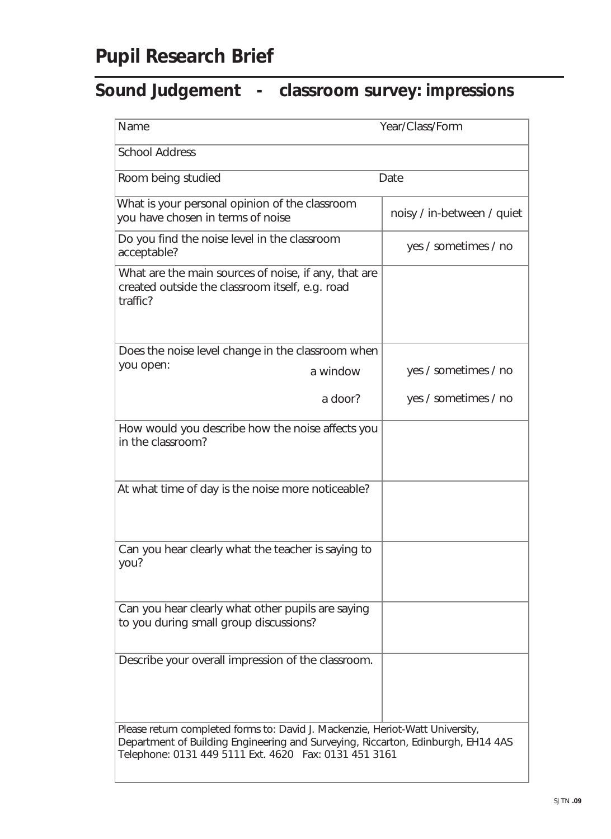## **Sound Judgement - classroom survey:** *impressions*

| Name                                                                                                                                                                                                                       | Year/Class/Form            |
|----------------------------------------------------------------------------------------------------------------------------------------------------------------------------------------------------------------------------|----------------------------|
| <b>School Address</b>                                                                                                                                                                                                      |                            |
| Room being studied                                                                                                                                                                                                         | Date                       |
| What is your personal opinion of the classroom<br>you have chosen in terms of noise                                                                                                                                        | noisy / in-between / quiet |
| Do you find the noise level in the classroom<br>acceptable?                                                                                                                                                                | yes / sometimes / no       |
| What are the main sources of noise, if any, that are<br>created outside the classroom itself, e.g. road<br>traffic?                                                                                                        |                            |
| Does the noise level change in the classroom when                                                                                                                                                                          |                            |
| you open:<br>a window                                                                                                                                                                                                      | yes / sometimes / no       |
| a door?                                                                                                                                                                                                                    | yes / sometimes / no       |
| How would you describe how the noise affects you<br>in the classroom?                                                                                                                                                      |                            |
| At what time of day is the noise more noticeable?                                                                                                                                                                          |                            |
| Can you hear clearly what the teacher is saying to<br>you?                                                                                                                                                                 |                            |
| Can you hear clearly what other pupils are saying<br>to you during small group discussions?                                                                                                                                |                            |
| Describe your overall impression of the classroom.                                                                                                                                                                         |                            |
| Please return completed forms to: David J. Mackenzie, Heriot-Watt University,<br>Department of Building Engineering and Surveying, Riccarton, Edinburgh, EH14 4AS<br>Telephone: 0131 449 5111 Ext. 4620 Fax: 0131 451 3161 |                            |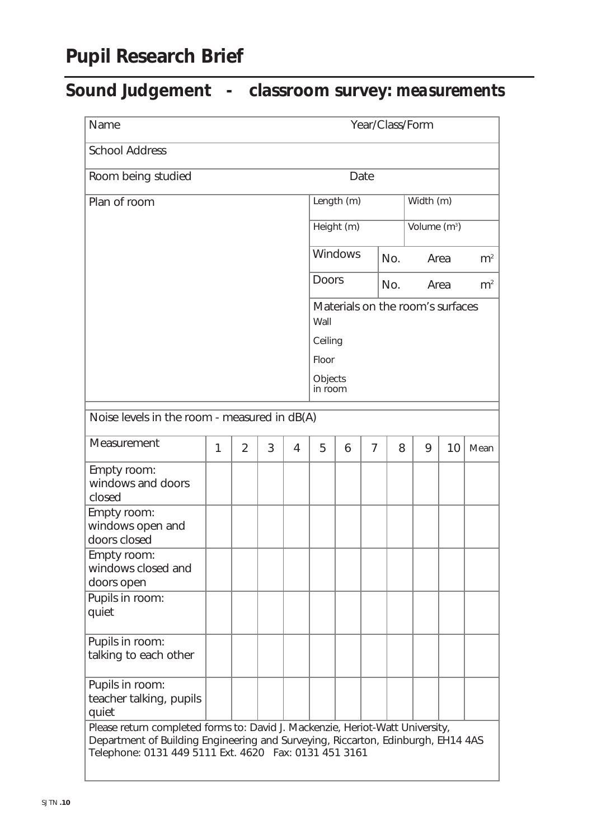## **Pupil Research Brief**

## **Sound Judgement - classroom survey:** *measurements*

| Year/Class/Form<br>Name                                                                                                                                                                                                     |   |                |   |                                          |                    |            |                |                |                          |                |      |
|-----------------------------------------------------------------------------------------------------------------------------------------------------------------------------------------------------------------------------|---|----------------|---|------------------------------------------|--------------------|------------|----------------|----------------|--------------------------|----------------|------|
| <b>School Address</b>                                                                                                                                                                                                       |   |                |   |                                          |                    |            |                |                |                          |                |      |
| Room being studied                                                                                                                                                                                                          |   |                |   |                                          |                    |            | Date           |                |                          |                |      |
| Plan of room                                                                                                                                                                                                                |   |                |   |                                          |                    | Length (m) |                |                | Width (m)                |                |      |
|                                                                                                                                                                                                                             |   |                |   |                                          |                    | Height (m) |                |                | Volume (m <sup>3</sup> ) |                |      |
|                                                                                                                                                                                                                             |   |                |   | Windows<br>No.                           |                    | Area       |                | m <sup>2</sup> |                          |                |      |
|                                                                                                                                                                                                                             |   |                |   | <b>Doors</b>                             |                    |            | No.            |                | Area                     | m <sup>2</sup> |      |
|                                                                                                                                                                                                                             |   |                |   | Materials on the room's surfaces<br>Wall |                    |            |                |                |                          |                |      |
|                                                                                                                                                                                                                             |   |                |   |                                          | Ceiling            |            |                |                |                          |                |      |
|                                                                                                                                                                                                                             |   |                |   |                                          | Floor              |            |                |                |                          |                |      |
|                                                                                                                                                                                                                             |   |                |   |                                          | Objects<br>in room |            |                |                |                          |                |      |
| Noise levels in the room - measured in dB(A)                                                                                                                                                                                |   |                |   |                                          |                    |            |                |                |                          |                |      |
| Measurement                                                                                                                                                                                                                 | 1 | $\overline{2}$ | 3 | $\overline{4}$                           | 5                  | 6          | $\overline{7}$ | 8              | 9                        | 10             | Mean |
| Empty room:<br>windows and doors<br>closed                                                                                                                                                                                  |   |                |   |                                          |                    |            |                |                |                          |                |      |
| Empty room:<br>windows open and<br>doors closed                                                                                                                                                                             |   |                |   |                                          |                    |            |                |                |                          |                |      |
| Empty room:<br>windows closed and<br>doors open                                                                                                                                                                             |   |                |   |                                          |                    |            |                |                |                          |                |      |
| Pupils in room:<br>quiet                                                                                                                                                                                                    |   |                |   |                                          |                    |            |                |                |                          |                |      |
| Pupils in room:<br>talking to each other                                                                                                                                                                                    |   |                |   |                                          |                    |            |                |                |                          |                |      |
| Pupils in room:<br>teacher talking, pupils<br>quiet                                                                                                                                                                         |   |                |   |                                          |                    |            |                |                |                          |                |      |
| Please return completed forms to: David J. Mackenzie, Heriot-Watt University,<br>Department of Building Engineering and Surveying, Riccarton, Edinburgh, EH14 4AS<br>Telephone: 0131 449 5111 Ext. 4620  Fax: 0131 451 3161 |   |                |   |                                          |                    |            |                |                |                          |                |      |